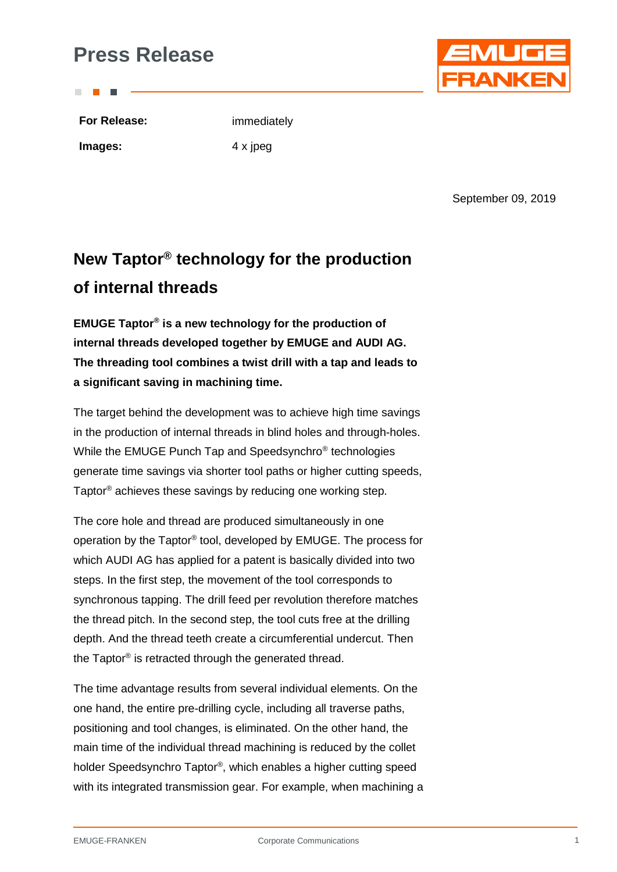## **Press Release**

**For Release:** immediately

**Images:** 4 x jpeg

September 09, 2019

# **New Taptor® technology for the production of internal threads**

**EMUGE Taptor® is a new technology for the production of internal threads developed together by EMUGE and AUDI AG. The threading tool combines a twist drill with a tap and leads to a significant saving in machining time.**

The target behind the development was to achieve high time savings in the production of internal threads in blind holes and through-holes. While the EMUGE Punch Tap and Speedsynchro® technologies generate time savings via shorter tool paths or higher cutting speeds, Taptor® achieves these savings by reducing one working step.

The core hole and thread are produced simultaneously in one operation by the Taptor® tool, developed by EMUGE. The process for which AUDI AG has applied for a patent is basically divided into two steps. In the first step, the movement of the tool corresponds to synchronous tapping. The drill feed per revolution therefore matches the thread pitch. In the second step, the tool cuts free at the drilling depth. And the thread teeth create a circumferential undercut. Then the Taptor® is retracted through the generated thread.

The time advantage results from several individual elements. On the one hand, the entire pre-drilling cycle, including all traverse paths, positioning and tool changes, is eliminated. On the other hand, the main time of the individual thread machining is reduced by the collet holder Speedsynchro Taptor®, which enables a higher cutting speed with its integrated transmission gear. For example, when machining a

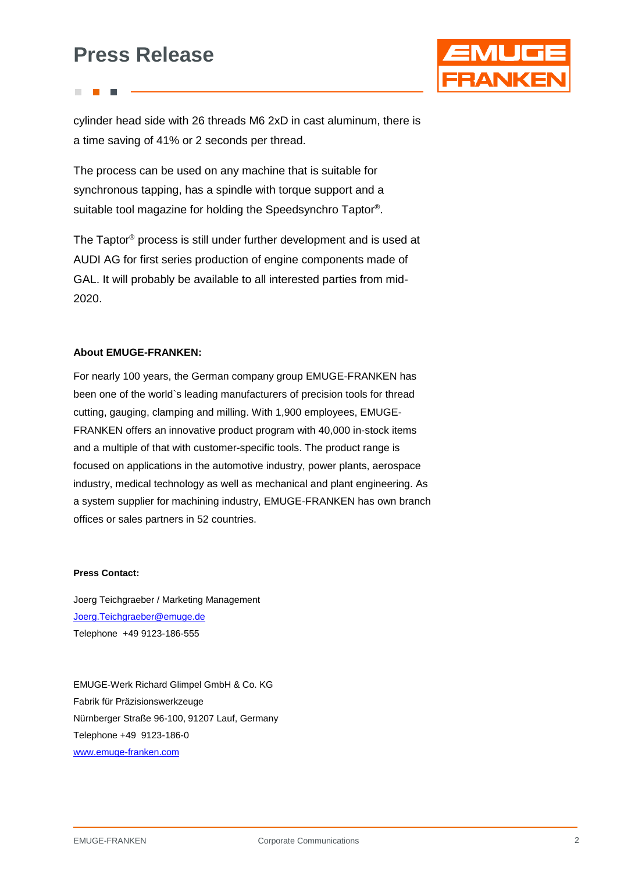## **Press Release**



cylinder head side with 26 threads M6 2xD in cast aluminum, there is a time saving of 41% or 2 seconds per thread.

The process can be used on any machine that is suitable for synchronous tapping, has a spindle with torque support and a suitable tool magazine for holding the Speedsynchro Taptor®.

The Taptor® process is still under further development and is used at AUDI AG for first series production of engine components made of GAL. It will probably be available to all interested parties from mid-2020.

### **About EMUGE-FRANKEN:**

For nearly 100 years, the German company group EMUGE-FRANKEN has been one of the world`s leading manufacturers of precision tools for thread cutting, gauging, clamping and milling. With 1,900 employees, EMUGE-FRANKEN offers an innovative product program with 40,000 in-stock items and a multiple of that with customer-specific tools. The product range is focused on applications in the automotive industry, power plants, aerospace industry, medical technology as well as mechanical and plant engineering. As a system supplier for machining industry, EMUGE-FRANKEN has own branch offices or sales partners in 52 countries.

### **Press Contact:**

Joerg Teichgraeber / Marketing Management [Joerg.Teichgraeber@emuge.de](mailto:Joerg.Teichgraeber@emuge.de) Telephone +49 9123-186-555

EMUGE-Werk Richard Glimpel GmbH & Co. KG Fabrik für Präzisionswerkzeuge Nürnberger Straße 96-100, 91207 Lauf, Germany Telephone +49 9123-186-0 [www.emuge-franken.com](http://www.emuge-franken.com/)